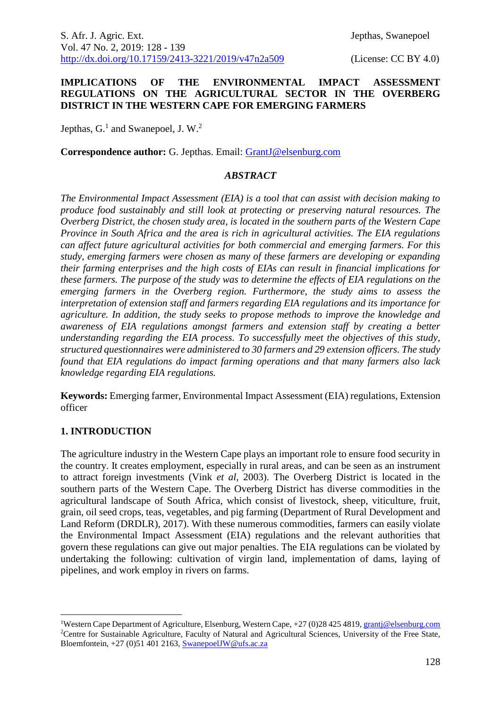### **IMPLICATIONS OF THE ENVIRONMENTAL IMPACT ASSESSMENT REGULATIONS ON THE AGRICULTURAL SECTOR IN THE OVERBERG DISTRICT IN THE WESTERN CAPE FOR EMERGING FARMERS**

Jepthas,  $G<sup>1</sup>$  and Swanepoel, J. W.<sup>2</sup>

**Correspondence author:** G. Jepthas. Email: [GrantJ@elsenburg.com](mailto:GrantJ@elsenburg.com)

### *ABSTRACT*

*The Environmental Impact Assessment (EIA) is a tool that can assist with decision making to produce food sustainably and still look at protecting or preserving natural resources. The Overberg District, the chosen study area, is located in the southern parts of the Western Cape Province in South Africa and the area is rich in agricultural activities. The EIA regulations can affect future agricultural activities for both commercial and emerging farmers. For this study, emerging farmers were chosen as many of these farmers are developing or expanding their farming enterprises and the high costs of EIAs can result in financial implications for these farmers. The purpose of the study was to determine the effects of EIA regulations on the emerging farmers in the Overberg region. Furthermore, the study aims to assess the interpretation of extension staff and farmers regarding EIA regulations and its importance for agriculture. In addition, the study seeks to propose methods to improve the knowledge and awareness of EIA regulations amongst farmers and extension staff by creating a better understanding regarding the EIA process. To successfully meet the objectives of this study, structured questionnaires were administered to 30 farmers and 29 extension officers. The study found that EIA regulations do impact farming operations and that many farmers also lack knowledge regarding EIA regulations.*

**Keywords:** Emerging farmer, Environmental Impact Assessment (EIA) regulations, Extension officer

## **1. INTRODUCTION**

1

The agriculture industry in the Western Cape plays an important role to ensure food security in the country. It creates employment, especially in rural areas, and can be seen as an instrument to attract foreign investments (Vink *et al*, 2003). The Overberg District is located in the southern parts of the Western Cape. The Overberg District has diverse commodities in the agricultural landscape of South Africa, which consist of livestock, sheep, viticulture, fruit, grain, oil seed crops, teas, vegetables, and pig farming (Department of Rural Development and Land Reform (DRDLR), 2017). With these numerous commodities, farmers can easily violate the Environmental Impact Assessment (EIA) regulations and the relevant authorities that govern these regulations can give out major penalties. The EIA regulations can be violated by undertaking the following: cultivation of virgin land, implementation of dams, laying of pipelines, and work employ in rivers on farms.

<sup>&</sup>lt;sup>1</sup>Western Cape Department of Agriculture, Elsenburg, Western Cape, +27 (0)28 425 4819, grantj@elsenburg.com <sup>2</sup>Centre for Sustainable Agriculture, Faculty of Natural and Agricultural Sciences, University of the Free State, Bloemfontein,  $+27$  (0)51 401 2163, [SwanepoelJW@ufs.ac.za](mailto:SwanepoelJW@ufs.ac.za)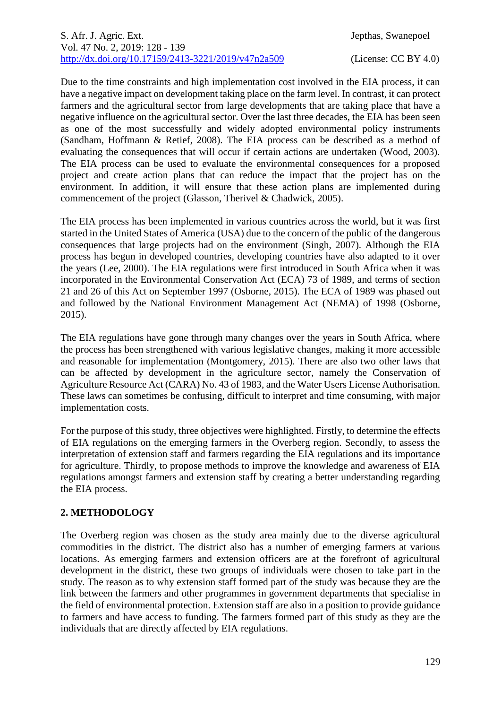Due to the time constraints and high implementation cost involved in the EIA process, it can have a negative impact on development taking place on the farm level. In contrast, it can protect farmers and the agricultural sector from large developments that are taking place that have a negative influence on the agricultural sector. Over the last three decades, the EIA has been seen as one of the most successfully and widely adopted environmental policy instruments (Sandham, Hoffmann & Retief, 2008). The EIA process can be described as a method of evaluating the consequences that will occur if certain actions are undertaken (Wood, 2003). The EIA process can be used to evaluate the environmental consequences for a proposed project and create action plans that can reduce the impact that the project has on the environment. In addition, it will ensure that these action plans are implemented during commencement of the project (Glasson, Therivel & Chadwick, 2005).

The EIA process has been implemented in various countries across the world, but it was first started in the United States of America (USA) due to the concern of the public of the dangerous consequences that large projects had on the environment (Singh, 2007). Although the EIA process has begun in developed countries, developing countries have also adapted to it over the years (Lee, 2000). The EIA regulations were first introduced in South Africa when it was incorporated in the Environmental Conservation Act (ECA) 73 of 1989, and terms of section 21 and 26 of this Act on September 1997 (Osborne, 2015). The ECA of 1989 was phased out and followed by the National Environment Management Act (NEMA) of 1998 (Osborne, 2015).

The EIA regulations have gone through many changes over the years in South Africa, where the process has been strengthened with various legislative changes, making it more accessible and reasonable for implementation (Montgomery, 2015). There are also two other laws that can be affected by development in the agriculture sector, namely the Conservation of Agriculture Resource Act (CARA) No. 43 of 1983, and the Water Users License Authorisation. These laws can sometimes be confusing, difficult to interpret and time consuming, with major implementation costs.

For the purpose of this study, three objectives were highlighted. Firstly, to determine the effects of EIA regulations on the emerging farmers in the Overberg region. Secondly, to assess the interpretation of extension staff and farmers regarding the EIA regulations and its importance for agriculture. Thirdly, to propose methods to improve the knowledge and awareness of EIA regulations amongst farmers and extension staff by creating a better understanding regarding the EIA process.

# **2. METHODOLOGY**

The Overberg region was chosen as the study area mainly due to the diverse agricultural commodities in the district. The district also has a number of emerging farmers at various locations. As emerging farmers and extension officers are at the forefront of agricultural development in the district, these two groups of individuals were chosen to take part in the study. The reason as to why extension staff formed part of the study was because they are the link between the farmers and other programmes in government departments that specialise in the field of environmental protection. Extension staff are also in a position to provide guidance to farmers and have access to funding. The farmers formed part of this study as they are the individuals that are directly affected by EIA regulations.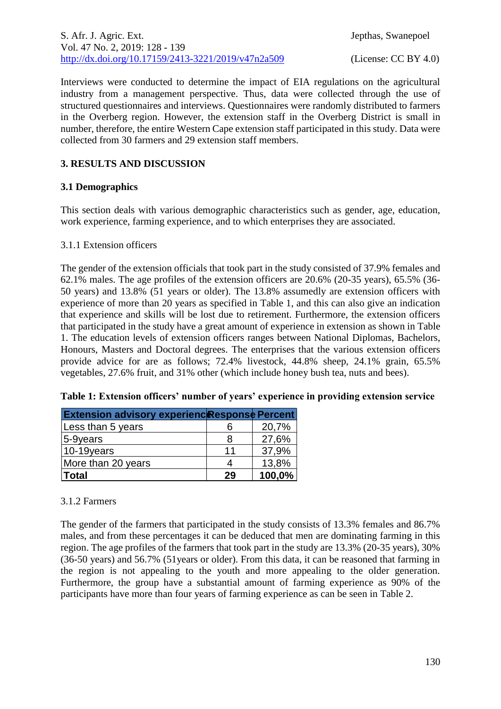Interviews were conducted to determine the impact of EIA regulations on the agricultural industry from a management perspective. Thus, data were collected through the use of structured questionnaires and interviews. Questionnaires were randomly distributed to farmers in the Overberg region. However, the extension staff in the Overberg District is small in number, therefore, the entire Western Cape extension staff participated in this study. Data were collected from 30 farmers and 29 extension staff members.

## **3. RESULTS AND DISCUSSION**

## **3.1 Demographics**

This section deals with various demographic characteristics such as gender, age, education, work experience, farming experience, and to which enterprises they are associated.

## 3.1.1 Extension officers

The gender of the extension officials that took part in the study consisted of 37.9% females and 62.1% males. The age profiles of the extension officers are 20.6% (20-35 years), 65.5% (36- 50 years) and 13.8% (51 years or older). The 13.8% assumedly are extension officers with experience of more than 20 years as specified in Table 1, and this can also give an indication that experience and skills will be lost due to retirement. Furthermore, the extension officers that participated in the study have a great amount of experience in extension as shown in Table 1. The education levels of extension officers ranges between National Diplomas, Bachelors, Honours, Masters and Doctoral degrees. The enterprises that the various extension officers provide advice for are as follows; 72.4% livestock, 44.8% sheep, 24.1% grain, 65.5% vegetables, 27.6% fruit, and 31% other (which include honey bush tea, nuts and bees).

| <b>Extension advisory experienc</b> Response Percent |    |        |
|------------------------------------------------------|----|--------|
| Less than 5 years                                    |    | 20,7%  |
| $ 5-9$ years                                         | 8  | 27,6%  |
| $ 10-19$ years                                       | 11 | 37,9%  |
| More than 20 years                                   |    | 13,8%  |
| <b>Total</b>                                         | 29 | 100,0% |

# **Table 1: Extension officers' number of years' experience in providing extension service**

# 3.1.2 Farmers

The gender of the farmers that participated in the study consists of 13.3% females and 86.7% males, and from these percentages it can be deduced that men are dominating farming in this region. The age profiles of the farmers that took part in the study are 13.3% (20-35 years), 30% (36-50 years) and 56.7% (51years or older). From this data, it can be reasoned that farming in the region is not appealing to the youth and more appealing to the older generation. Furthermore, the group have a substantial amount of farming experience as 90% of the participants have more than four years of farming experience as can be seen in Table 2.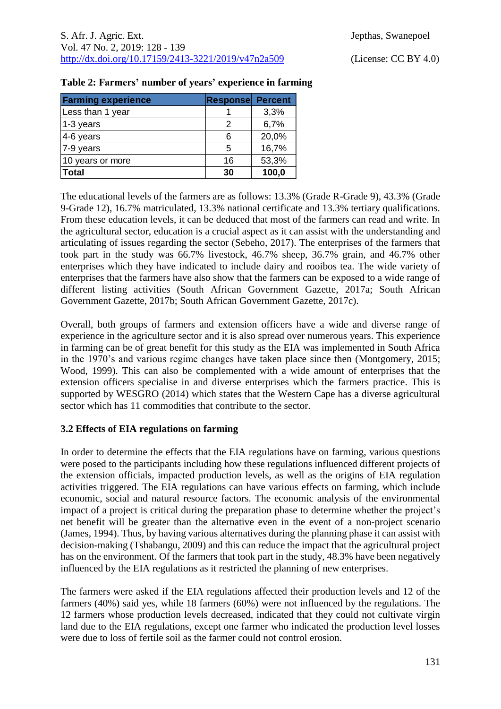| <b>Farming experience</b> | <b>Response</b> | <b>Percent</b> |
|---------------------------|-----------------|----------------|
| Less than 1 year          |                 | 3,3%           |
| 1-3 years                 | 2               | 6,7%           |
| 4-6 years                 | 6               | 20,0%          |
| 7-9 years                 | 5               | 16,7%          |
| 10 years or more          | 16              | 53,3%          |
| <b>Total</b>              | 30              | 100,0          |

|  |  |  | Table 2: Farmers' number of years' experience in farming |  |  |
|--|--|--|----------------------------------------------------------|--|--|
|  |  |  |                                                          |  |  |

The educational levels of the farmers are as follows: 13.3% (Grade R-Grade 9), 43.3% (Grade 9-Grade 12), 16.7% matriculated, 13.3% national certificate and 13.3% tertiary qualifications. From these education levels, it can be deduced that most of the farmers can read and write. In the agricultural sector, education is a crucial aspect as it can assist with the understanding and articulating of issues regarding the sector (Sebeho, 2017). The enterprises of the farmers that took part in the study was 66.7% livestock, 46.7% sheep, 36.7% grain, and 46.7% other enterprises which they have indicated to include dairy and rooibos tea. The wide variety of enterprises that the farmers have also show that the farmers can be exposed to a wide range of different listing activities (South African Government Gazette, 2017a; South African Government Gazette, 2017b; South African Government Gazette, 2017c).

Overall, both groups of farmers and extension officers have a wide and diverse range of experience in the agriculture sector and it is also spread over numerous years. This experience in farming can be of great benefit for this study as the EIA was implemented in South Africa in the 1970's and various regime changes have taken place since then (Montgomery, 2015; Wood, 1999). This can also be complemented with a wide amount of enterprises that the extension officers specialise in and diverse enterprises which the farmers practice. This is supported by WESGRO (2014) which states that the Western Cape has a diverse agricultural sector which has 11 commodities that contribute to the sector.

## **3.2 Effects of EIA regulations on farming**

In order to determine the effects that the EIA regulations have on farming, various questions were posed to the participants including how these regulations influenced different projects of the extension officials, impacted production levels, as well as the origins of EIA regulation activities triggered. The EIA regulations can have various effects on farming, which include economic, social and natural resource factors. The economic analysis of the environmental impact of a project is critical during the preparation phase to determine whether the project's net benefit will be greater than the alternative even in the event of a non-project scenario (James, 1994). Thus, by having various alternatives during the planning phase it can assist with decision-making (Tshabangu, 2009) and this can reduce the impact that the agricultural project has on the environment. Of the farmers that took part in the study, 48.3% have been negatively influenced by the EIA regulations as it restricted the planning of new enterprises.

The farmers were asked if the EIA regulations affected their production levels and 12 of the farmers (40%) said yes, while 18 farmers (60%) were not influenced by the regulations. The 12 farmers whose production levels decreased, indicated that they could not cultivate virgin land due to the EIA regulations, except one farmer who indicated the production level losses were due to loss of fertile soil as the farmer could not control erosion.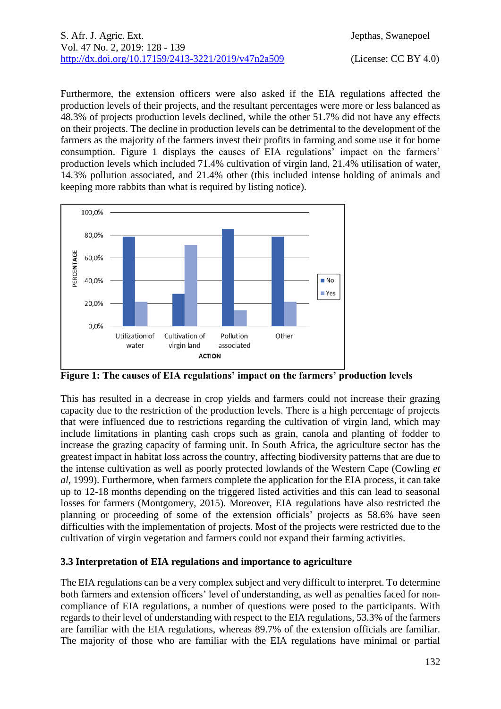Furthermore, the extension officers were also asked if the EIA regulations affected the production levels of their projects, and the resultant percentages were more or less balanced as 48.3% of projects production levels declined, while the other 51.7% did not have any effects on their projects. The decline in production levels can be detrimental to the development of the farmers as the majority of the farmers invest their profits in farming and some use it for home consumption. Figure 1 displays the causes of EIA regulations' impact on the farmers' production levels which included 71.4% cultivation of virgin land, 21.4% utilisation of water, 14.3% pollution associated, and 21.4% other (this included intense holding of animals and keeping more rabbits than what is required by listing notice).



**Figure 1: The causes of EIA regulations' impact on the farmers' production levels**

This has resulted in a decrease in crop yields and farmers could not increase their grazing capacity due to the restriction of the production levels. There is a high percentage of projects that were influenced due to restrictions regarding the cultivation of virgin land, which may include limitations in planting cash crops such as grain, canola and planting of fodder to increase the grazing capacity of farming unit. In South Africa, the agriculture sector has the greatest impact in habitat loss across the country, affecting biodiversity patterns that are due to the intense cultivation as well as poorly protected lowlands of the Western Cape (Cowling *et al*, 1999). Furthermore, when farmers complete the application for the EIA process, it can take up to 12-18 months depending on the triggered listed activities and this can lead to seasonal losses for farmers (Montgomery, 2015). Moreover, EIA regulations have also restricted the planning or proceeding of some of the extension officials' projects as 58.6% have seen difficulties with the implementation of projects. Most of the projects were restricted due to the cultivation of virgin vegetation and farmers could not expand their farming activities.

## **3.3 Interpretation of EIA regulations and importance to agriculture**

The EIA regulations can be a very complex subject and very difficult to interpret. To determine both farmers and extension officers' level of understanding, as well as penalties faced for noncompliance of EIA regulations, a number of questions were posed to the participants. With regards to their level of understanding with respect to the EIA regulations, 53.3% of the farmers are familiar with the EIA regulations, whereas 89.7% of the extension officials are familiar. The majority of those who are familiar with the EIA regulations have minimal or partial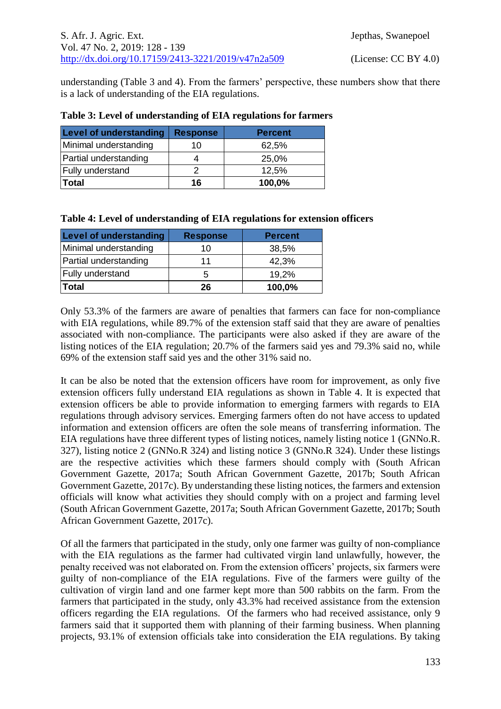understanding (Table 3 and 4). From the farmers' perspective, these numbers show that there is a lack of understanding of the EIA regulations.

| <b>Level of understanding</b> | <b>Response</b> | <b>Percent</b> |
|-------------------------------|-----------------|----------------|
| Minimal understanding         | 10              | 62,5%          |
| Partial understanding         |                 | 25,0%          |
| Fully understand              |                 | 12,5%          |
| <b>Total</b>                  | 16              | 100,0%         |

#### **Table 3: Level of understanding of EIA regulations for farmers**

|  |  |  | Table 4: Level of understanding of EIA regulations for extension officers |  |  |
|--|--|--|---------------------------------------------------------------------------|--|--|
|  |  |  |                                                                           |  |  |

| Level of understanding  | <b>Response</b> | <b>Percent</b> |
|-------------------------|-----------------|----------------|
| Minimal understanding   | 10              | 38,5%          |
| Partial understanding   | 11              | 42,3%          |
| <b>Fully understand</b> | 5               | 19,2%          |
| Total                   | 26              | 100,0%         |

Only 53.3% of the farmers are aware of penalties that farmers can face for non-compliance with EIA regulations, while 89.7% of the extension staff said that they are aware of penalties associated with non-compliance. The participants were also asked if they are aware of the listing notices of the EIA regulation; 20.7% of the farmers said yes and 79.3% said no, while 69% of the extension staff said yes and the other 31% said no.

It can be also be noted that the extension officers have room for improvement, as only five extension officers fully understand EIA regulations as shown in Table 4. It is expected that extension officers be able to provide information to emerging farmers with regards to EIA regulations through advisory services. Emerging farmers often do not have access to updated information and extension officers are often the sole means of transferring information. The EIA regulations have three different types of listing notices, namely listing notice 1 (GNNo.R. 327), listing notice 2 (GNNo.R 324) and listing notice 3 (GNNo.R 324). Under these listings are the respective activities which these farmers should comply with (South African Government Gazette, 2017a; South African Government Gazette, 2017b; South African Government Gazette, 2017c). By understanding these listing notices, the farmers and extension officials will know what activities they should comply with on a project and farming level (South African Government Gazette, 2017a; South African Government Gazette, 2017b; South African Government Gazette, 2017c).

Of all the farmers that participated in the study, only one farmer was guilty of non-compliance with the EIA regulations as the farmer had cultivated virgin land unlawfully, however, the penalty received was not elaborated on. From the extension officers' projects, six farmers were guilty of non-compliance of the EIA regulations. Five of the farmers were guilty of the cultivation of virgin land and one farmer kept more than 500 rabbits on the farm. From the farmers that participated in the study, only 43.3% had received assistance from the extension officers regarding the EIA regulations. Of the farmers who had received assistance, only 9 farmers said that it supported them with planning of their farming business. When planning projects, 93.1% of extension officials take into consideration the EIA regulations. By taking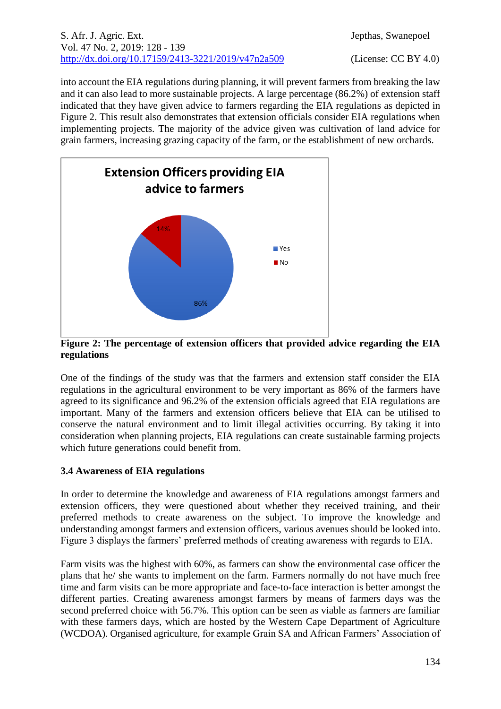#### S. Afr. J. Agric. Ext. Jepthas, Swanepoel Vol. 47 No. 2, 2019: 128 - 139 [http://dx.doi.org/10.17159/2413-3221/2019/v47n2a5](https://urldefense.proofpoint.com/v2/url?u=http-3A__dx.doi.org_10.17159_2413-2D3221_2019_v47n1a485&d=DwMFAg&c=vTCSeBKl9YZZHWJzz-zQUQ&r=2O1irMqrdumXAIE9PdSLREhTXj5iyPGEywcz8I6zQwI&m=niwmmhX1mCI8GpeJjK8D7j-v09hQgXHBu3LsS3Opojw&s=98o8gy8B6ly02TS5WoJvLScIQPXENi4ceK3R3c9Iu9c&e=)09 (License: CC BY 4.0)

into account the EIA regulations during planning, it will prevent farmers from breaking the law and it can also lead to more sustainable projects. A large percentage (86.2%) of extension staff indicated that they have given advice to farmers regarding the EIA regulations as depicted in Figure 2. This result also demonstrates that extension officials consider EIA regulations when implementing projects. The majority of the advice given was cultivation of land advice for grain farmers, increasing grazing capacity of the farm, or the establishment of new orchards.



**Figure 2: The percentage of extension officers that provided advice regarding the EIA regulations**

One of the findings of the study was that the farmers and extension staff consider the EIA regulations in the agricultural environment to be very important as 86% of the farmers have agreed to its significance and 96.2% of the extension officials agreed that EIA regulations are important. Many of the farmers and extension officers believe that EIA can be utilised to conserve the natural environment and to limit illegal activities occurring. By taking it into consideration when planning projects, EIA regulations can create sustainable farming projects which future generations could benefit from.

## **3.4 Awareness of EIA regulations**

In order to determine the knowledge and awareness of EIA regulations amongst farmers and extension officers, they were questioned about whether they received training, and their preferred methods to create awareness on the subject. To improve the knowledge and understanding amongst farmers and extension officers, various avenues should be looked into. Figure 3 displays the farmers' preferred methods of creating awareness with regards to EIA.

Farm visits was the highest with 60%, as farmers can show the environmental case officer the plans that he/ she wants to implement on the farm. Farmers normally do not have much free time and farm visits can be more appropriate and face-to-face interaction is better amongst the different parties. Creating awareness amongst farmers by means of farmers days was the second preferred choice with 56.7%. This option can be seen as viable as farmers are familiar with these farmers days, which are hosted by the Western Cape Department of Agriculture (WCDOA). Organised agriculture, for example Grain SA and African Farmers' Association of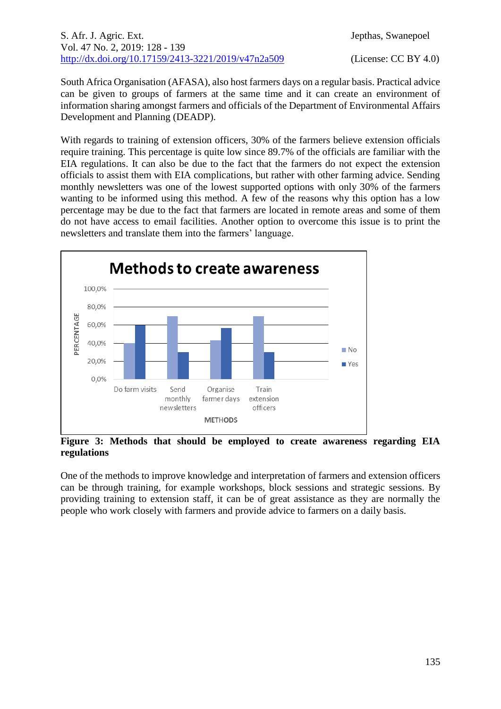## S. Afr. J. Agric. Ext. Jepthas, Swanepoel Vol. 47 No. 2, 2019: 128 - 139 [http://dx.doi.org/10.17159/2413-3221/2019/v47n2a5](https://urldefense.proofpoint.com/v2/url?u=http-3A__dx.doi.org_10.17159_2413-2D3221_2019_v47n1a485&d=DwMFAg&c=vTCSeBKl9YZZHWJzz-zQUQ&r=2O1irMqrdumXAIE9PdSLREhTXj5iyPGEywcz8I6zQwI&m=niwmmhX1mCI8GpeJjK8D7j-v09hQgXHBu3LsS3Opojw&s=98o8gy8B6ly02TS5WoJvLScIQPXENi4ceK3R3c9Iu9c&e=)09 (License: CC BY 4.0)

South Africa Organisation (AFASA), also host farmers days on a regular basis. Practical advice can be given to groups of farmers at the same time and it can create an environment of information sharing amongst farmers and officials of the Department of Environmental Affairs Development and Planning (DEADP).

With regards to training of extension officers, 30% of the farmers believe extension officials require training. This percentage is quite low since 89.7% of the officials are familiar with the EIA regulations. It can also be due to the fact that the farmers do not expect the extension officials to assist them with EIA complications, but rather with other farming advice. Sending monthly newsletters was one of the lowest supported options with only 30% of the farmers wanting to be informed using this method. A few of the reasons why this option has a low percentage may be due to the fact that farmers are located in remote areas and some of them do not have access to email facilities. Another option to overcome this issue is to print the newsletters and translate them into the farmers' language.



**Figure 3: Methods that should be employed to create awareness regarding EIA regulations**

One of the methods to improve knowledge and interpretation of farmers and extension officers can be through training, for example workshops, block sessions and strategic sessions. By providing training to extension staff, it can be of great assistance as they are normally the people who work closely with farmers and provide advice to farmers on a daily basis.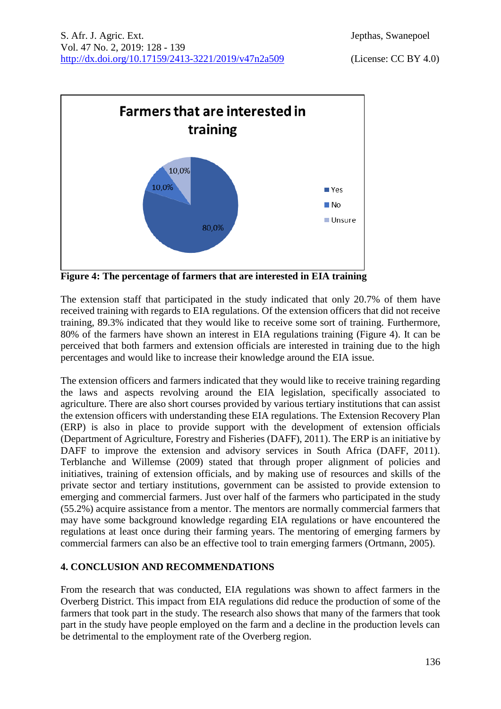

**Figure 4: The percentage of farmers that are interested in EIA training**

The extension staff that participated in the study indicated that only 20.7% of them have received training with regards to EIA regulations. Of the extension officers that did not receive training, 89.3% indicated that they would like to receive some sort of training. Furthermore, 80% of the farmers have shown an interest in EIA regulations training (Figure 4). It can be perceived that both farmers and extension officials are interested in training due to the high percentages and would like to increase their knowledge around the EIA issue.

The extension officers and farmers indicated that they would like to receive training regarding the laws and aspects revolving around the EIA legislation, specifically associated to agriculture. There are also short courses provided by various tertiary institutions that can assist the extension officers with understanding these EIA regulations. The Extension Recovery Plan (ERP) is also in place to provide support with the development of extension officials (Department of Agriculture, Forestry and Fisheries (DAFF), 2011). The ERP is an initiative by DAFF to improve the extension and advisory services in South Africa (DAFF, 2011). Terblanche and Willemse (2009) stated that through proper alignment of policies and initiatives, training of extension officials, and by making use of resources and skills of the private sector and tertiary institutions, government can be assisted to provide extension to emerging and commercial farmers. Just over half of the farmers who participated in the study (55.2%) acquire assistance from a mentor. The mentors are normally commercial farmers that may have some background knowledge regarding EIA regulations or have encountered the regulations at least once during their farming years. The mentoring of emerging farmers by commercial farmers can also be an effective tool to train emerging farmers (Ortmann, 2005).

# **4. CONCLUSION AND RECOMMENDATIONS**

From the research that was conducted, EIA regulations was shown to affect farmers in the Overberg District. This impact from EIA regulations did reduce the production of some of the farmers that took part in the study. The research also shows that many of the farmers that took part in the study have people employed on the farm and a decline in the production levels can be detrimental to the employment rate of the Overberg region.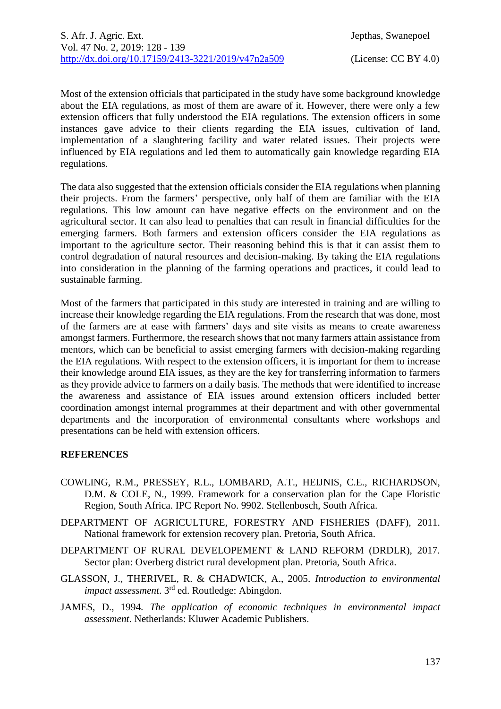Most of the extension officials that participated in the study have some background knowledge about the EIA regulations, as most of them are aware of it. However, there were only a few extension officers that fully understood the EIA regulations. The extension officers in some instances gave advice to their clients regarding the EIA issues, cultivation of land, implementation of a slaughtering facility and water related issues. Their projects were influenced by EIA regulations and led them to automatically gain knowledge regarding EIA regulations.

The data also suggested that the extension officials consider the EIA regulations when planning their projects. From the farmers' perspective, only half of them are familiar with the EIA regulations. This low amount can have negative effects on the environment and on the agricultural sector. It can also lead to penalties that can result in financial difficulties for the emerging farmers. Both farmers and extension officers consider the EIA regulations as important to the agriculture sector. Their reasoning behind this is that it can assist them to control degradation of natural resources and decision-making. By taking the EIA regulations into consideration in the planning of the farming operations and practices, it could lead to sustainable farming.

Most of the farmers that participated in this study are interested in training and are willing to increase their knowledge regarding the EIA regulations. From the research that was done, most of the farmers are at ease with farmers' days and site visits as means to create awareness amongst farmers. Furthermore, the research shows that not many farmers attain assistance from mentors, which can be beneficial to assist emerging farmers with decision-making regarding the EIA regulations. With respect to the extension officers, it is important for them to increase their knowledge around EIA issues, as they are the key for transferring information to farmers as they provide advice to farmers on a daily basis. The methods that were identified to increase the awareness and assistance of EIA issues around extension officers included better coordination amongst internal programmes at their department and with other governmental departments and the incorporation of environmental consultants where workshops and presentations can be held with extension officers.

## **REFERENCES**

- COWLING, R.M., PRESSEY, R.L., LOMBARD, A.T., HEIJNIS, C.E., RICHARDSON, D.M. & COLE, N., 1999. Framework for a conservation plan for the Cape Floristic Region, South Africa. IPC Report No. 9902. Stellenbosch, South Africa.
- DEPARTMENT OF AGRICULTURE, FORESTRY AND FISHERIES (DAFF), 2011. National framework for extension recovery plan. Pretoria, South Africa.
- DEPARTMENT OF RURAL DEVELOPEMENT & LAND REFORM (DRDLR), 2017. Sector plan: Overberg district rural development plan. Pretoria, South Africa.
- GLASSON, J., THERIVEL, R. & CHADWICK, A., 2005. *Introduction to environmental*  impact assessment. 3<sup>rd</sup> ed. Routledge: Abingdon.
- JAMES, D., 1994. *The application of economic techniques in environmental impact assessment*. Netherlands: Kluwer Academic Publishers.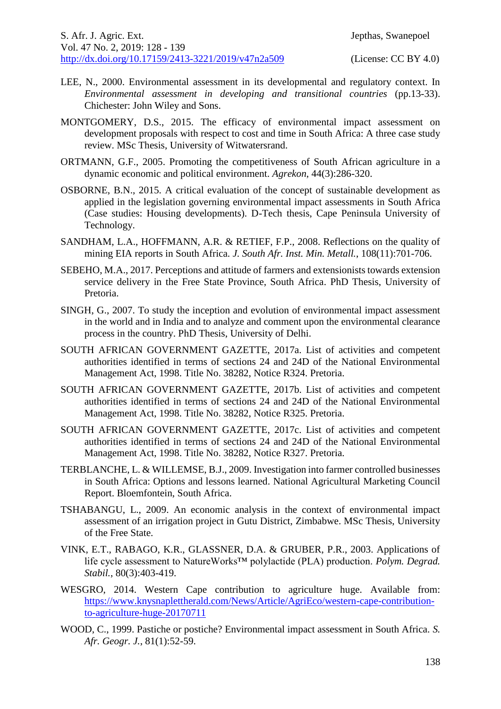- LEE, N., 2000. Environmental assessment in its developmental and regulatory context. In *Environmental assessment in developing and transitional countries* (pp.13-33). Chichester: John Wiley and Sons.
- MONTGOMERY, D.S., 2015. The efficacy of environmental impact assessment on development proposals with respect to cost and time in South Africa: A three case study review. MSc Thesis, University of Witwatersrand.
- ORTMANN, G.F., 2005. Promoting the competitiveness of South African agriculture in a dynamic economic and political environment. *Agrekon*, 44(3):286-320.
- OSBORNE, B.N., 2015. A critical evaluation of the concept of sustainable development as applied in the legislation governing environmental impact assessments in South Africa (Case studies: Housing developments). D-Tech thesis, Cape Peninsula University of Technology.
- SANDHAM, L.A., HOFFMANN, A.R. & RETIEF, F.P., 2008. Reflections on the quality of mining EIA reports in South Africa. *J. South Afr. Inst. Min. Metall.*, 108(11):701-706.
- SEBEHO, M.A., 2017. Perceptions and attitude of farmers and extensionists towards extension service delivery in the Free State Province, South Africa. PhD Thesis, University of Pretoria.
- SINGH, G., 2007. To study the inception and evolution of environmental impact assessment in the world and in India and to analyze and comment upon the environmental clearance process in the country. PhD Thesis, University of Delhi.
- SOUTH AFRICAN GOVERNMENT GAZETTE, 2017a. List of activities and competent authorities identified in terms of sections 24 and 24D of the National Environmental Management Act, 1998. Title No. 38282, Notice R324. Pretoria.
- SOUTH AFRICAN GOVERNMENT GAZETTE, 2017b. List of activities and competent authorities identified in terms of sections 24 and 24D of the National Environmental Management Act, 1998. Title No. 38282, Notice R325. Pretoria.
- SOUTH AFRICAN GOVERNMENT GAZETTE, 2017c. List of activities and competent authorities identified in terms of sections 24 and 24D of the National Environmental Management Act, 1998. Title No. 38282, Notice R327. Pretoria.
- TERBLANCHE, L. & WILLEMSE, B.J., 2009. Investigation into farmer controlled businesses in South Africa: Options and lessons learned. National Agricultural Marketing Council Report. Bloemfontein, South Africa.
- TSHABANGU, L., 2009. An economic analysis in the context of environmental impact assessment of an irrigation project in Gutu District, Zimbabwe. MSc Thesis, University of the Free State.
- VINK, E.T., RABAGO, K.R., GLASSNER, D.A. & GRUBER, P.R., 2003. Applications of life cycle assessment to NatureWorks™ polylactide (PLA) production. *Polym. Degrad. Stabil.*, 80(3):403-419.
- WESGRO, 2014. Western Cape contribution to agriculture huge. Available from: [https://www.knysnaplettherald.com/News/Article/AgriEco/western-cape-contribution](https://www.knysnaplettherald.com/News/Article/AgriEco/western-cape-contribution-to-agriculture-huge-20170711)[to-agriculture-huge-20170711](https://www.knysnaplettherald.com/News/Article/AgriEco/western-cape-contribution-to-agriculture-huge-20170711)
- WOOD, C., 1999. Pastiche or postiche? Environmental impact assessment in South Africa. *S. Afr. Geogr. J.*, 81(1):52-59.